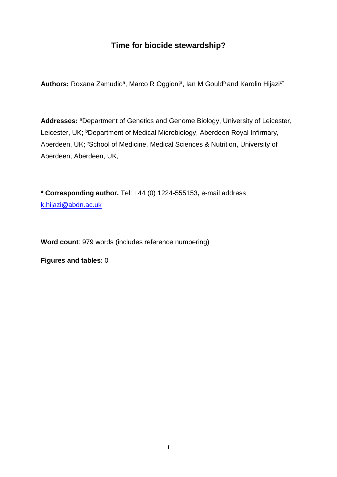## **Time for biocide stewardship?**

Authors: Roxana Zamudio<sup>a</sup>, Marco R Oggioni<sup>a</sup>, Ian M Gould<sup>b</sup> and Karolin Hijazi<sup>c\*</sup>

**Addresses:** <sup>a</sup>Department of Genetics and Genome Biology, University of Leicester, Leicester, UK; <sup>b</sup>Department of Medical Microbiology, Aberdeen Royal Infirmary, Aberdeen, UK; <sup>c</sup>School of Medicine, Medical Sciences & Nutrition, University of Aberdeen, Aberdeen, UK,

**\* Corresponding author.** Tel: +44 (0) 1224-555153**,** e-mail address [k.hijazi@abdn.ac.uk](mailto:k.hijazi@abdn.ac.uk)

**Word count**: 979 words (includes reference numbering)

**Figures and tables**: 0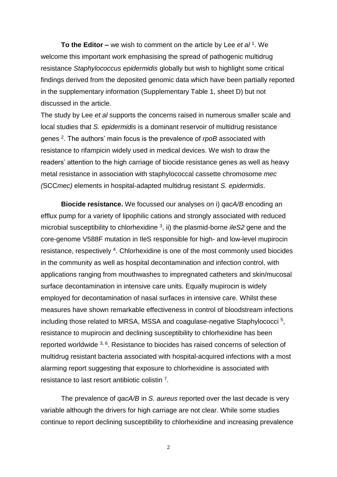**To the Editor –** we wish to comment on the article by Lee *et al* <sup>1</sup> . We welcome this important work emphasising the spread of pathogenic multidrug resistance *Staphylococcus epidermidis* globally but wish to highlight some critical findings derived from the deposited genomic data which have been partially reported in the supplementary information (Supplementary Table 1, sheet D) but not discussed in the article.

The study by Lee *et al* supports the concerns raised in numerous smaller scale and local studies that *S. epidermidis* is a dominant reservoir of multidrug resistance genes <sup>2</sup>. The authors' main focus is the prevalence of *rpoB* associated with resistance to rifampicin widely used in medical devices. We wish to draw the readers' attention to the high carriage of biocide resistance genes as well as heavy metal resistance in association with staphylococcal cassette chromosome *mec (*SCC*mec)* elements in hospital-adapted multidrug resistant *S. epidermidis*.

**Biocide resistance.** We focussed our analyses on i) *qacA/B* encoding an efflux pump for a variety of lipophilic cations and strongly associated with reduced microbial susceptibility to chlorhexidine <sup>3</sup>, ii) the plasmid-borne *ileS2* gene and the core-genome V588F mutation in IleS responsible for high- and low-level mupirocin resistance, respectively <sup>4</sup>. Chlorhexidine is one of the most commonly used biocides in the community as well as hospital decontamination and infection control, with applications ranging from mouthwashes to impregnated catheters and skin/mucosal surface decontamination in intensive care units. Equally mupirocin is widely employed for decontamination of nasal surfaces in intensive care. Whilst these measures have shown remarkable effectiveness in control of bloodstream infections including those related to MRSA, MSSA and coagulase-negative Staphylococci<sup>5</sup>, resistance to mupirocin and declining susceptibility to chlorhexidine has been reported worldwide <sup>3, 6</sup>. Resistance to biocides has raised concerns of selection of multidrug resistant bacteria associated with hospital-acquired infections with a most alarming report suggesting that exposure to chlorhexidine is associated with resistance to last resort antibiotic colistin<sup>7</sup>.

The prevalence of *qacA/B* in *S. aureus* reported over the last decade is very variable although the drivers for high carriage are not clear. While some studies continue to report declining susceptibility to chlorhexidine and increasing prevalence

2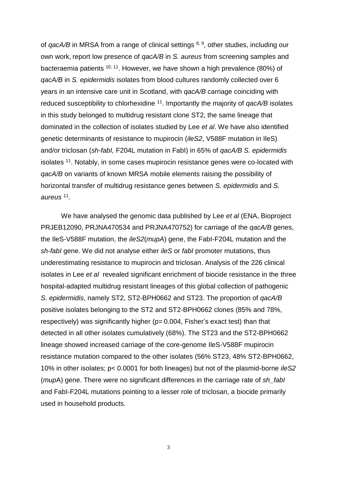of *qacA/B* in MRSA from a range of clinical settings <sup>8, 9</sup>, other studies, including our own work, report low presence of *qacA/B* in *S. aureus* from screening samples and bacteraemia patients <sup>10, 11</sup>. However, we have shown a high prevalence (80%) of *qacA/B* in *S. epidermidis* isolates from blood cultures randomly collected over 6 years in an intensive care unit in Scotland, with *qacA/B* carriage coinciding with reduced susceptibility to chlorhexidine <sup>11</sup>. Importantly the majority of *qacA/B* isolates in this study belonged to multidrug resistant clone ST2, the same lineage that dominated in the collection of isolates studied by Lee *et al*. We have also identified genetic determinants of resistance to mupirocin (*ileS2*, V588F mutation in IleS) and/or triclosan (*sh-fabI,* F204L mutation in FabI) in 65% of *qacA/B S. epidermidis* isolates <sup>11</sup>. Notably, in some cases mupirocin resistance genes were co-located with *qacA/B* on variants of known MRSA mobile elements raising the possibility of horizontal transfer of multidrug resistance genes between *S. epidermidis* and *S. aureus* <sup>11</sup> *.* 

We have analysed the genomic data published by Lee *et al* (ENA, Bioproject PRJEB12090, PRJNA470534 and PRJNA470752) for carriage of the *qacA/B* genes, the IleS-V588F mutation, the *ileS2*(*mupA*) gene, the FabI-F204L mutation and the *sh-fabI* gene. We did not analyse either *ileS* or *fabI* promoter mutations, thus underestimating resistance to mupirocin and triclosan. Analysis of the 226 clinical isolates in Lee *et al* revealed significant enrichment of biocide resistance in the three hospital-adapted multidrug resistant lineages of this global collection of pathogenic *S. epidermidis*, namely ST2, ST2-BPH0662 and ST23. The proportion of *qacA/B* positive isolates belonging to the ST2 and ST2-BPH0662 clones (85% and 78%, respectively) was significantly higher (p= 0.004, Fisher's exact test) than that detected in all other isolates cumulatively (68%). The ST23 and the ST2-BPH0662 lineage showed increased carriage of the core-genome IleS-V588F mupirocin resistance mutation compared to the other isolates (56% ST23, 48% ST2-BPH0662, 10% in other isolates; p< 0.0001 for both lineages) but not of the plasmid-borne *ileS2* (*mup*A) gene. There were no significant differences in the carriage rate of *sh\_fabI* and FabI-F204L mutations pointing to a lesser role of triclosan, a biocide primarily used in household products.

3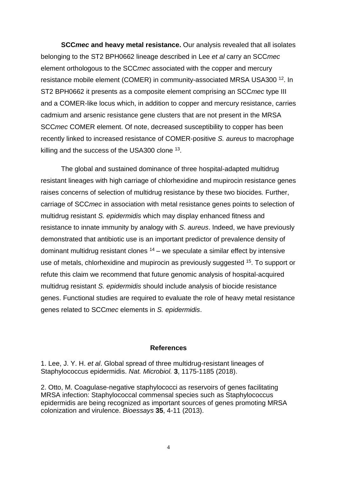**SCC***mec* **and heavy metal resistance.** Our analysis revealed that all isolates belonging to the ST2 BPH0662 lineage described in Lee *et al* carry an SCC*mec* element orthologous to the SCC*mec* associated with the copper and mercury resistance mobile element (COMER) in community-associated MRSA USA300<sup>12</sup>. In ST2 BPH0662 it presents as a composite element comprising an SCC*mec* type III and a COMER-like locus which, in addition to copper and mercury resistance, carries cadmium and arsenic resistance gene clusters that are not present in the MRSA SCC*mec* COMER element. Of note, decreased susceptibility to copper has been recently linked to increased resistance of COMER-positive *S. aureus* to macrophage killing and the success of the USA300 clone  $^{13}$ .

The global and sustained dominance of three hospital-adapted multidrug resistant lineages with high carriage of chlorhexidine and mupirocin resistance genes raises concerns of selection of multidrug resistance by these two biocides*.* Further, carriage of SCC*mec* in association with metal resistance genes points to selection of multidrug resistant *S. epidermidis* which may display enhanced fitness and resistance to innate immunity by analogy with *S. aureus*. Indeed, we have previously demonstrated that antibiotic use is an important predictor of prevalence density of dominant multidrug resistant clones  $14 -$  we speculate a similar effect by intensive use of metals, chlorhexidine and mupirocin as previously suggested <sup>15</sup>. To support or refute this claim we recommend that future genomic analysis of hospital-acquired multidrug resistant *S. epidermidis* should include analysis of biocide resistance genes. Functional studies are required to evaluate the role of heavy metal resistance genes related to SCC*mec* elements in *S. epidermidis*.

## **References**

1. Lee, J. Y. H. *et al*. Global spread of three multidrug-resistant lineages of Staphylococcus epidermidis. *Nat. Microbiol.* **3**, 1175-1185 (2018).

2. Otto, M. Coagulase-negative staphylococci as reservoirs of genes facilitating MRSA infection: Staphylococcal commensal species such as Staphylococcus epidermidis are being recognized as important sources of genes promoting MRSA colonization and virulence. *Bioessays* **35**, 4-11 (2013).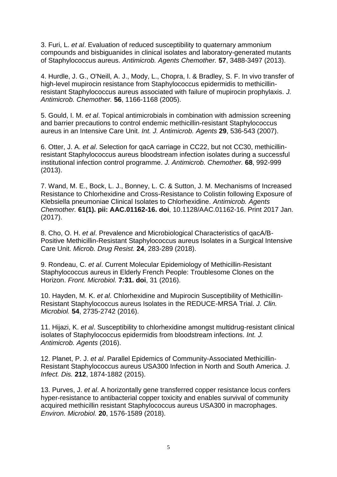3. Furi, L. *et al*. Evaluation of reduced susceptibility to quaternary ammonium compounds and bisbiguanides in clinical isolates and laboratory-generated mutants of Staphylococcus aureus. *Antimicrob. Agents Chemother.* **57**, 3488-3497 (2013).

4. Hurdle, J. G., O'Neill, A. J., Mody, L., Chopra, I. & Bradley, S. F. In vivo transfer of high-level mupirocin resistance from Staphylococcus epidermidis to methicillinresistant Staphylococcus aureus associated with failure of mupirocin prophylaxis. *J. Antimicrob. Chemother.* **56**, 1166-1168 (2005).

5. Gould, I. M. *et al*. Topical antimicrobials in combination with admission screening and barrier precautions to control endemic methicillin-resistant Staphylococcus aureus in an Intensive Care Unit. *Int. J. Antimicrob. Agents* **29**, 536-543 (2007).

6. Otter, J. A. *et al*. Selection for qacA carriage in CC22, but not CC30, methicillinresistant Staphylococcus aureus bloodstream infection isolates during a successful institutional infection control programme. *J. Antimicrob. Chemother.* **68**, 992-999 (2013).

7. Wand, M. E., Bock, L. J., Bonney, L. C. & Sutton, J. M. Mechanisms of Increased Resistance to Chlorhexidine and Cross-Resistance to Colistin following Exposure of Klebsiella pneumoniae Clinical Isolates to Chlorhexidine. *Antimicrob. Agents Chemother.* **61(1). pii: AAC.01162-16. doi**, 10.1128/AAC.01162-16. Print 2017 Jan. (2017).

8. Cho, O. H. *et al*. Prevalence and Microbiological Characteristics of qacA/B-Positive Methicillin-Resistant Staphylococcus aureus Isolates in a Surgical Intensive Care Unit. *Microb. Drug Resist.* **24**, 283-289 (2018).

9. Rondeau, C. *et al*. Current Molecular Epidemiology of Methicillin-Resistant Staphylococcus aureus in Elderly French People: Troublesome Clones on the Horizon. *Front. Microbiol.* **7:31. doi**, 31 (2016).

10. Hayden, M. K. *et al*. Chlorhexidine and Mupirocin Susceptibility of Methicillin-Resistant Staphylococcus aureus Isolates in the REDUCE-MRSA Trial. *J. Clin. Microbiol.* **54**, 2735-2742 (2016).

11. Hijazi, K. *et al*. Susceptibility to chlorhexidine amongst multidrug-resistant clinical isolates of Staphylococcus epidermidis from bloodstream infections. *Int. J. Antimicrob. Agents* (2016).

12. Planet, P. J. *et al*. Parallel Epidemics of Community-Associated Methicillin-Resistant Staphylococcus aureus USA300 Infection in North and South America. *J. Infect. Dis.* **212**, 1874-1882 (2015).

13. Purves, J. *et al*. A horizontally gene transferred copper resistance locus confers hyper-resistance to antibacterial copper toxicity and enables survival of community acquired methicillin resistant Staphylococcus aureus USA300 in macrophages. *Environ. Microbiol.* **20**, 1576-1589 (2018).